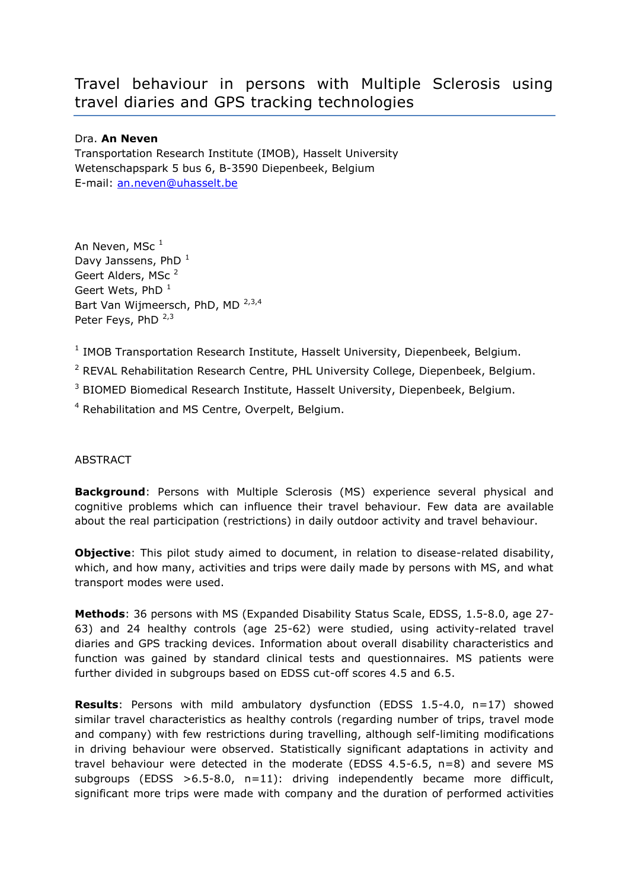## Travel behaviour in persons with Multiple Sclerosis using travel diaries and GPS tracking technologies

## Dra. **An Neven**

Transportation Research Institute (IMOB), Hasselt University Wetenschapspark 5 bus 6, B-3590 Diepenbeek, Belgium E-mail: [an.neven@uhasselt.be](mailto:an.neven@uhasselt.be)

An Neven, MSc<sup>1</sup> Davy Janssens, PhD $<sup>1</sup>$ </sup> Geert Alders, MSc<sup>2</sup> Geert Wets,  $PhD<sup>1</sup>$ Bart Van Wijmeersch, PhD, MD<sup>2,3,4</sup> Peter Feys, PhD  $2,3$ 

<sup>1</sup> IMOB Transportation Research Institute, Hasselt University, Diepenbeek, Belgium.

<sup>2</sup> REVAL Rehabilitation Research Centre, PHL University College, Diepenbeek, Belgium.

<sup>3</sup> BIOMED Biomedical Research Institute, Hasselt University, Diepenbeek, Belgium.

<sup>4</sup> Rehabilitation and MS Centre, Overpelt, Belgium.

## **ABSTRACT**

**Background**: Persons with Multiple Sclerosis (MS) experience several physical and cognitive problems which can influence their travel behaviour. Few data are available about the real participation (restrictions) in daily outdoor activity and travel behaviour.

**Objective**: This pilot study aimed to document, in relation to disease-related disability, which, and how many, activities and trips were daily made by persons with MS, and what transport modes were used.

**Methods**: 36 persons with MS (Expanded Disability Status Scale, EDSS, 1.5-8.0, age 27- 63) and 24 healthy controls (age 25-62) were studied, using activity-related travel diaries and GPS tracking devices. Information about overall disability characteristics and function was gained by standard clinical tests and questionnaires. MS patients were further divided in subgroups based on EDSS cut-off scores 4.5 and 6.5.

**Results**: Persons with mild ambulatory dysfunction (EDSS 1.5-4.0, n=17) showed similar travel characteristics as healthy controls (regarding number of trips, travel mode and company) with few restrictions during travelling, although self-limiting modifications in driving behaviour were observed. Statistically significant adaptations in activity and travel behaviour were detected in the moderate (EDSS 4.5-6.5, n=8) and severe MS subgroups (EDSS  $>6.5-8.0$ , n=11): driving independently became more difficult, significant more trips were made with company and the duration of performed activities